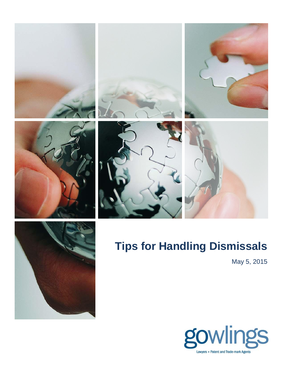













## **Tips for Handling Dismissals**

May 5, 2015

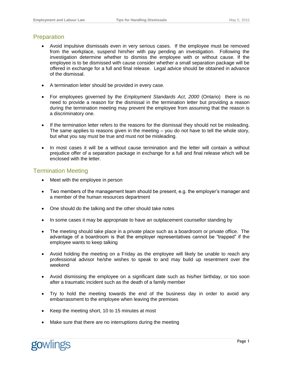## **Preparation**

- Avoid impulsive dismissals even in very serious cases. If the employee must be removed from the workplace, suspend him/her with pay pending an investigation. Following the investigation determine whether to dismiss the employee with or without cause. If the employee is to be dismissed with cause consider whether a small separation package will be offered in exchange for a full and final release. Legal advice should be obtained in advance of the dismissal.
- A termination letter should be provided in every case.
- For employees governed by the *Employment Standards Act*, *2000* (Ontario) there is no need to provide a reason for the dismissal in the termination letter but providing a reason during the termination meeting may prevent the employee from assuming that the reason is a discriminatory one.
- If the termination letter refers to the reasons for the dismissal they should not be misleading. The same applies to reasons given in the meeting – you do not have to tell the whole story, but what you say must be true and must not be misleading.
- In most cases it will be a without cause termination and the letter will contain a without prejudice offer of a separation package in exchange for a full and final release which will be enclosed with the letter.

## Termination Meeting

- Meet with the employee in person
- Two members of the management team should be present, e.g. the employer's manager and a member of the human resources department
- One should do the talking and the other should take notes
- In some cases it may be appropriate to have an outplacement counsellor standing by
- The meeting should take place in a private place such as a boardroom or private office. The advantage of a boardroom is that the employer representatives cannot be "trapped" if the employee wants to keep talking
- Avoid holding the meeting on a Friday as the employee will likely be unable to reach any professional advisor he/she wishes to speak to and may build up resentment over the weekend
- Avoid dismissing the employee on a significant date such as his/her birthday, or too soon after a traumatic incident such as the death of a family member
- Try to hold the meeting towards the end of the business day in order to avoid any embarrassment to the employee when leaving the premises
- Keep the meeting short, 10 to 15 minutes at most
- Make sure that there are no interruptions during the meeting